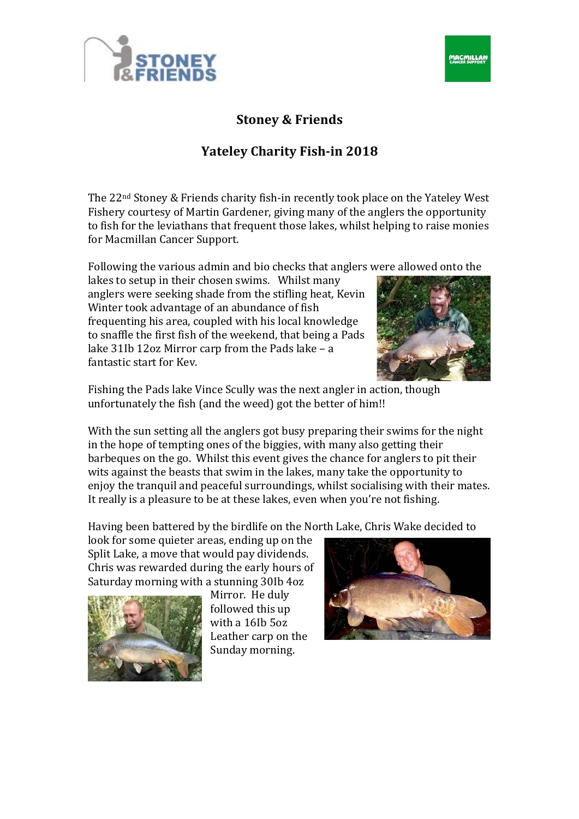



## **Stoney & Friends**

## **Yateley Charity Fish-in 2018**

The  $22<sup>nd</sup>$  Stoney & Friends charity fish-in recently took place on the Yateley West Fishery courtesy of Martin Gardener, giving many of the anglers the opportunity to fish for the leviathans that frequent those lakes, whilst helping to raise monies for Macmillan Cancer Support.

Following the various admin and bio checks that anglers were allowed onto the

lakes to setup in their chosen swims. Whilst many anglers were seeking shade from the stifling heat, Kevin Winter took advantage of an abundance of fish frequenting his area, coupled with his local knowledge to snaffle the first fish of the weekend, that being a Pads lake  $31$ Ib  $12$ oz Mirror carp from the Pads lake – a fantastic start for Kev.



Fishing the Pads lake Vince Scully was the next angler in action, though unfortunately the fish (and the weed) got the better of him!!

With the sun setting all the anglers got busy preparing their swims for the night in the hope of tempting ones of the biggies, with many also getting their barbeques on the go. Whilst this event gives the chance for anglers to pit their wits against the beasts that swim in the lakes, many take the opportunity to enjoy the tranquil and peaceful surroundings, whilst socialising with their mates. It really is a pleasure to be at these lakes, even when you're not fishing.

Having been battered by the birdlife on the North Lake, Chris Wake decided to

look for some quieter areas, ending up on the Split Lake, a move that would pay dividends. Chris was rewarded during the early hours of Saturday morning with a stunning 30Ib 4oz



Mirror. He duly followed this up with a 16Ib 5oz Leather carp on the Sunday morning.

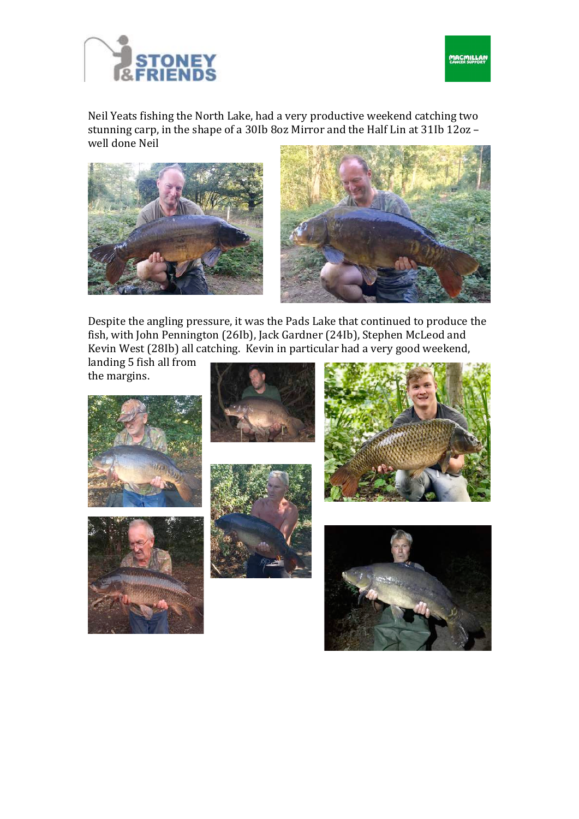



Neil Yeats fishing the North Lake, had a very productive weekend catching two stunning carp, in the shape of a 30Ib 8oz Mirror and the Half Lin at 31Ib  $12$ oz – well done Neil





Despite the angling pressure, it was the Pads Lake that continued to produce the fish, with John Pennington (26Ib), Jack Gardner (24Ib), Stephen McLeod and Kevin West (28Ib) all catching. Kevin in particular had a very good weekend,

landing 5 fish all from the margins.